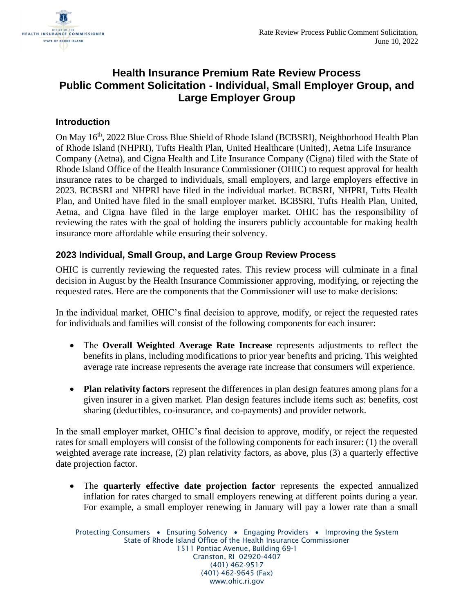

## **Health Insurance Premium Rate Review Process Public Comment Solicitation - Individual, Small Employer Group, and Large Employer Group**

## **Introduction**

On May 16<sup>th</sup>, 2022 Blue Cross Blue Shield of Rhode Island (BCBSRI), Neighborhood Health Plan of Rhode Island (NHPRI), Tufts Health Plan, United Healthcare (United), Aetna Life Insurance Company (Aetna), and Cigna Health and Life Insurance Company (Cigna) filed with the State of Rhode Island Office of the Health Insurance Commissioner (OHIC) to request approval for health insurance rates to be charged to individuals, small employers, and large employers effective in 2023. BCBSRI and NHPRI have filed in the individual market. BCBSRI, NHPRI, Tufts Health Plan, and United have filed in the small employer market. BCBSRI, Tufts Health Plan, United, Aetna, and Cigna have filed in the large employer market. OHIC has the responsibility of reviewing the rates with the goal of holding the insurers publicly accountable for making health insurance more affordable while ensuring their solvency.

## **2023 Individual, Small Group, and Large Group Review Process**

OHIC is currently reviewing the requested rates. This review process will culminate in a final decision in August by the Health Insurance Commissioner approving, modifying, or rejecting the requested rates. Here are the components that the Commissioner will use to make decisions:

In the individual market, OHIC's final decision to approve, modify, or reject the requested rates for individuals and families will consist of the following components for each insurer:

- The **Overall Weighted Average Rate Increase** represents adjustments to reflect the benefits in plans, including modifications to prior year benefits and pricing. This weighted average rate increase represents the average rate increase that consumers will experience.
- **Plan relativity factors** represent the differences in plan design features among plans for a given insurer in a given market. Plan design features include items such as: benefits, cost sharing (deductibles, co-insurance, and co-payments) and provider network.

In the small employer market, OHIC's final decision to approve, modify, or reject the requested rates for small employers will consist of the following components for each insurer: (1) the overall weighted average rate increase, (2) plan relativity factors, as above, plus (3) a quarterly effective date projection factor.

• The **quarterly effective date projection factor** represents the expected annualized inflation for rates charged to small employers renewing at different points during a year. For example, a small employer renewing in January will pay a lower rate than a small

Protecting Consumers • Ensuring Solvency • Engaging Providers • Improving the System State of Rhode Island Office of the Health Insurance Commissioner 1511 Pontiac Avenue, Building 69-1 Cranston, RI 02920-4407 (401) 462-9517 (401) 462-9645 (Fax) www.ohic.ri.gov